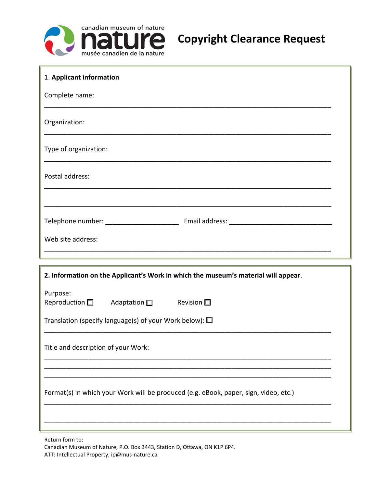

| 1. Applicant information                                                             |  |  |  |  |  |
|--------------------------------------------------------------------------------------|--|--|--|--|--|
| Complete name:                                                                       |  |  |  |  |  |
| Organization:                                                                        |  |  |  |  |  |
| Type of organization:                                                                |  |  |  |  |  |
| Postal address:                                                                      |  |  |  |  |  |
|                                                                                      |  |  |  |  |  |
|                                                                                      |  |  |  |  |  |
| Web site address:                                                                    |  |  |  |  |  |
|                                                                                      |  |  |  |  |  |
| 2. Information on the Applicant's Work in which the museum's material will appear.   |  |  |  |  |  |
| Purpose:<br>Reproduction $\square$ Adaptation $\square$ Revision $\square$           |  |  |  |  |  |
| Translation (specify language(s) of your Work below): $\square$                      |  |  |  |  |  |
| Title and description of your Work:                                                  |  |  |  |  |  |
| Format(s) in which your Work will be produced (e.g. eBook, paper, sign, video, etc.) |  |  |  |  |  |
|                                                                                      |  |  |  |  |  |

Return form to:

Canadian Museum of Nature, P.O. Box 3443, Station D, Ottawa, ON K1P 6P4. ATT: Intellectual Property, ip@mus-nature.ca